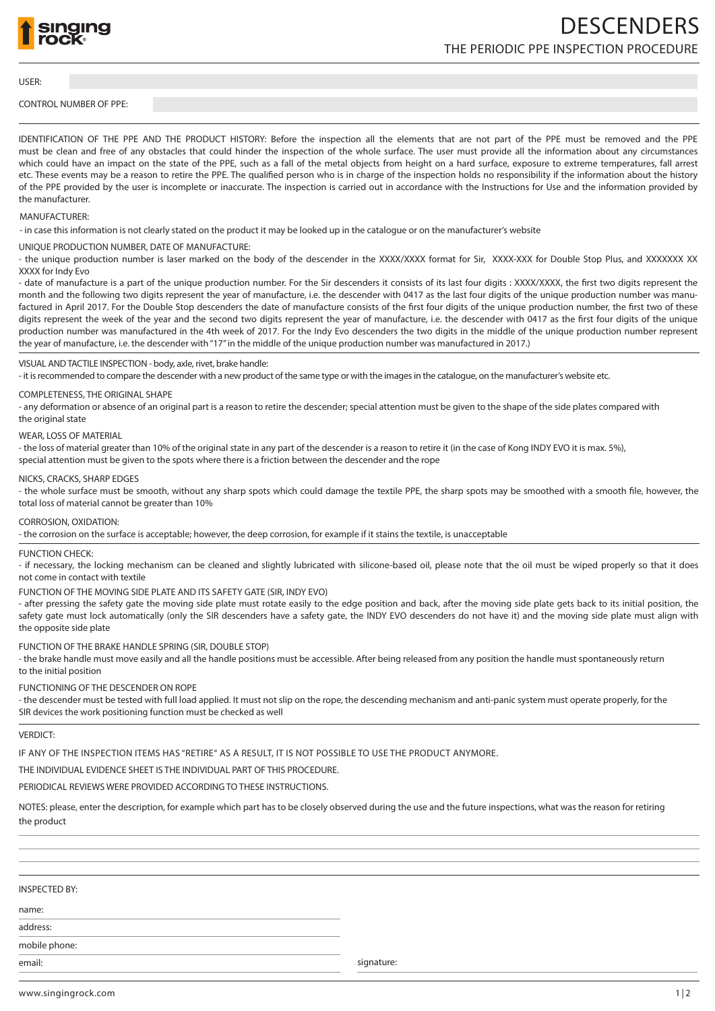

#### USER:

## CONTROL NUMBER OF PPE:

IDENTIFICATION OF THE PPE AND THE PRODUCT HISTORY: Before the inspection all the elements that are not part of the PPE must be removed and the PPE must be clean and free of any obstacles that could hinder the inspection of the whole surface. The user must provide all the information about any circumstances which could have an impact on the state of the PPE, such as a fall of the metal objects from height on a hard surface, exposure to extreme temperatures, fall arrest etc. These events may be a reason to retire the PPE. The qualified person who is in charge of the inspection holds no responsibility if the information about the history of the PPE provided by the user is incomplete or inaccurate. The inspection is carried out in accordance with the Instructions for Use and the information provided by the manufacturer.

## MANUFACTURER:

- in case this information is not clearly stated on the product it may be looked up in the catalogue or on the manufacturer's website

# UNIQUE PRODUCTION NUMBER, DATE OF MANUFACTURE:

- the unique production number is laser marked on the body of the descender in the XXXX/XXXX format for Sir, XXXX-XXX for Double Stop Plus, and XXXXXXX XX XXXX for Indy Evo

- date of manufacture is a part of the unique production number. For the Sir descenders it consists of its last four digits : XXXX/XXXX, the first two digits represent the month and the following two digits represent the year of manufacture, i.e. the descender with 0417 as the last four digits of the unique production number was manufactured in April 2017. For the Double Stop descenders the date of manufacture consists of the first four digits of the unique production number, the first two of these digits represent the week of the year and the second two digits represent the year of manufacture, i.e. the descender with 0417 as the first four digits of the unique production number was manufactured in the 4th week of 2017. For the Indy Evo descenders the two digits in the middle of the unique production number represent the year of manufacture, i.e. the descender with "17" in the middle of the unique production number was manufactured in 2017.)

# VISUAL AND TACTILE INSPECTION - body, axle, rivet, brake handle:

- it is recommended to compare the descender with a new product of the same type or with the images in the catalogue, on the manufacturer's website etc.

# COMPLETENESS, THE ORIGINAL SHAPE

- any deformation or absence of an original part is a reason to retire the descender; special attention must be given to the shape of the side plates compared with the original state

#### WEAR, LOSS OF MATERIAL

- the loss of material greater than 10% of the original state in any part of the descender is a reason to retire it (in the case of Kong INDY EVO it is max. 5%), special attention must be given to the spots where there is a friction between the descender and the rope

#### NICKS, CRACKS, SHARP EDGES

- the whole surface must be smooth, without any sharp spots which could damage the textile PPE, the sharp spots may be smoothed with a smooth file, however, the total loss of material cannot be greater than 10%

#### CORROSION, OXIDATION:

- the corrosion on the surface is acceptable; however, the deep corrosion, for example if it stains the textile, is unacceptable

#### FUNCTION CHECK:

- if necessary, the locking mechanism can be cleaned and slightly lubricated with silicone-based oil, please note that the oil must be wiped properly so that it does not come in contact with textile

FUNCTION OF THE MOVING SIDE PLATE AND ITS SAFETY GATE (SIR, INDY EVO)

- after pressing the safety gate the moving side plate must rotate easily to the edge position and back, after the moving side plate gets back to its initial position, the safety gate must lock automatically (only the SIR descenders have a safety gate, the INDY EVO descenders do not have it) and the moving side plate must align with the opposite side plate

### FUNCTION OF THE BRAKE HANDLE SPRING (SIR, DOUBLE STOP)

- the brake handle must move easily and all the handle positions must be accessible. After being released from any position the handle must spontaneously return to the initial position

#### FUNCTIONING OF THE DESCENDER ON ROPE

- the descender must be tested with full load applied. It must not slip on the rope, the descending mechanism and anti-panic system must operate properly, for the SIR devices the work positioning function must be checked as well

## VERDICT:

IF ANY OF THE INSPECTION ITEMS HAS "RETIRE" AS A RESULT, IT IS NOT POSSIBLE TO USE THE PRODUCT ANYMORE.

# THE INDIVIDUAL EVIDENCE SHEET IS THE INDIVIDUAL PART OF THIS PROCEDURE.

PERIODICAL REVIEWS WERE PROVIDED ACCORDING TO THESE INSTRUCTIONS.

NOTES: please, enter the description, for example which part has to be closely observed during the use and the future inspections, what was the reason for retiring the product

## INSPECTED BY:

name:

address:

mobile phone:

email: signature: signature: signature: signature: signature: signature: signature: signature: signature: signature: signature: signature: signature: signature: signature: signature: signature: signature: signature: signat